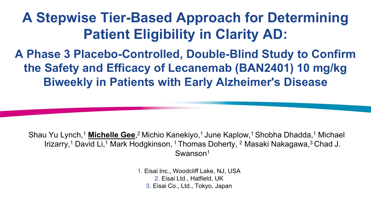# **A Stepwise Tier-Based Approach for Determining Patient Eligibility in Clarity AD:**

**A Phase 3 Placebo-Controlled, Double-Blind Study to Confirm the Safety and Efficacy of Lecanemab (BAN2401) 10 mg/kg Biweekly in Patients with Early Alzheimer's Disease**

Shau Yu Lynch,<sup>1</sup> Michelle Gee,<sup>2</sup> Michio Kanekiyo,<sup>1</sup> June Kaplow,<sup>1</sup> Shobha Dhadda,<sup>1</sup> Michael Irizarry,<sup>1</sup> David Li,<sup>1</sup> Mark Hodgkinson, <sup>1</sup> Thomas Doherty, <sup>2</sup> Masaki Nakagawa,<sup>3</sup> Chad J. Swanson<sup>1</sup>

> 1. Eisai Inc., Woodcliff Lake, NJ, USA 2. Eisai Ltd., Hatfield, UK 3. Eisai Co., Ltd., Tokyo, Japan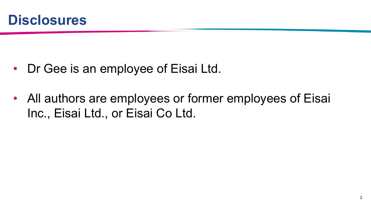

- Dr Gee is an employee of Eisai Ltd.
- All authors are employees or former employees of Eisai Inc., Eisai Ltd., or Eisai Co Ltd.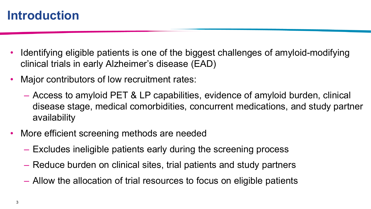## **Introduction**

- Identifying eligible patients is one of the biggest challenges of amyloid-modifying clinical trials in early Alzheimer's disease (EAD)
- Major contributors of low recruitment rates:
	- Access to amyloid PET & LP capabilities, evidence of amyloid burden, clinical disease stage, medical comorbidities, concurrent medications, and study partner availability
- More efficient screening methods are needed
	- Excludes ineligible patients early during the screening process
	- Reduce burden on clinical sites, trial patients and study partners
	- Allow the allocation of trial resources to focus on eligible patients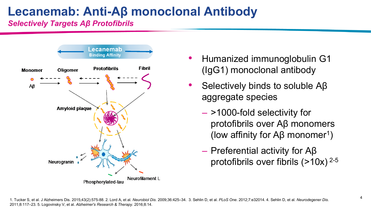# **Lecanemab: Anti-Aβ monoclonal Antibody**

*Selectively Targets Aβ Protofibrils*



- Humanized immunoglobulin G1 (IgG1) monoclonal antibody
- Selectively binds to soluble Aβ aggregate species
	- >1000-fold selectivity for protofibrils over Aβ monomers (low affinity for Aβ monomer<sup>1</sup>)
	- Preferential activity for Aβ protofibrils over fibrils  $(>10x)^{2-5}$

1. Tucker S, et al. J Alzheimers Dis. 2015;43(2):575-88. 2. Lord A, et al. Neurobiol Dis. 2009;36:425-34. 3. Sehlin D, et al. PLoS One. 2012;7:e32014. 4. Sehlin D, et al. Neurodegener Dis. 2011;8:117–23. 5. Logovinsky V, et al. *Alzheimer's Research & Therapy*. 2016;8:14.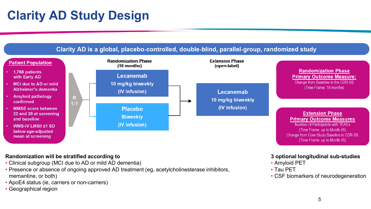

#### **Randomization will be stratified according to**

- Clinical subgroup (MCI due to AD or mild AD dementia)
- Presence or absence of ongoing approved AD treatment (eg, acetylcholinesterase inhibitors, memantine, or both)
- ApoE4 status (ie, carriers or non-carriers)
- Geographical region

#### **3 optional longitudinal sub-studies**

- Amyloid PET
- Tau PET
- CSF biomarkers of neurodegeneration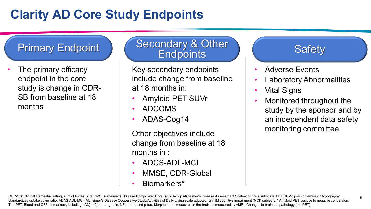## **Clarity AD Core Study Endpoints**

The primary efficacy endpoint in the core study is change in CDR-SB from baseline at 18 months

#### Primary Endpoint | Secondary & Other **Endpoints**

Key secondary endpoints include change from baseline at 18 months in:

- Amyloid PET SUVr
- ADCOMS
- ADAS-Cog14

Other objectives include change from baseline at 18 months in :

- ADCS-ADL-MCI
- MMSE, CDR-Global
- Biomarkers\*

#### **Safety**

- Adverse Events
- Laboratory Abnormalities
- Vital Signs
- Monitored throughout the study by the sponsor and by an independent data safety monitoring committee

6

CDR-SB: Clinical Dementia Rating, sum of boxes. ADCOMS: Alzheimer's Disease Composite Score. ADAS-cog: Alzheimer's Disease Assessment Scale–cognitive subscale. PET SUVr: positron emission topography standardized uptake value ratio. ADAS-ADL-MCI: Alzheimer's Disease Cooperative Study/Activities of Daily Living scale adapted for mild cognitive impairment (MCI) subjects. \* Amyloid PET positive to negative conversion; Tau PET; Blood and CSF biomarkers, including: Aβ[1-42], neurogranin, NFL, t-tau, and p-tau; Morphometric measures in the brain as measured by vMRI; Changes in brain tau pathology (tau PET)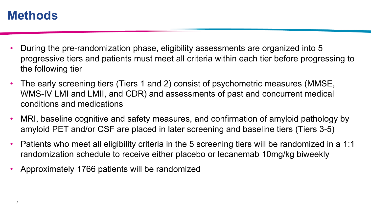#### **Methods**

- During the pre-randomization phase, eligibility assessments are organized into 5 progressive tiers and patients must meet all criteria within each tier before progressing to the following tier
- The early screening tiers (Tiers 1 and 2) consist of psychometric measures (MMSE, WMS-IV LMI and LMII, and CDR) and assessments of past and concurrent medical conditions and medications
- MRI, baseline cognitive and safety measures, and confirmation of amyloid pathology by amyloid PET and/or CSF are placed in later screening and baseline tiers (Tiers 3-5)
- Patients who meet all eligibility criteria in the 5 screening tiers will be randomized in a 1:1 randomization schedule to receive either placebo or lecanemab 10mg/kg biweekly
- Approximately 1766 patients will be randomized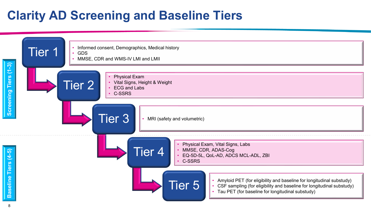## **Clarity AD Screening and Baseline Tiers**

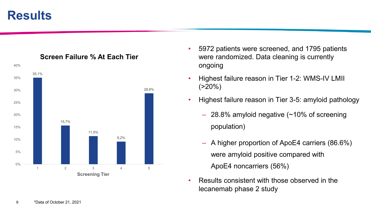#### **Results**



#### **Screen Failure % At Each Tier**

- 5972 patients were screened, and 1795 patients were randomized. Data cleaning is currently ongoing
- Highest failure reason in Tier 1-2: WMS-IV LMII  $(20\%)$
- Highest failure reason in Tier 3-5: amyloid pathology
	- 28.8% amyloid negative (~10% of screening population)
	- A higher proportion of ApoE4 carriers (86.6%) were amyloid positive compared with ApoE4 noncarriers (56%)
- Results consistent with those observed in the lecanemab phase 2 study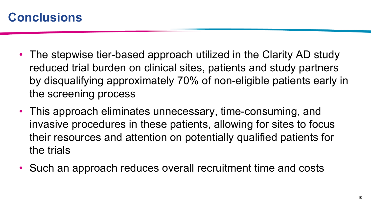### **Conclusions**

- The stepwise tier-based approach utilized in the Clarity AD study reduced trial burden on clinical sites, patients and study partners by disqualifying approximately 70% of non-eligible patients early in the screening process
- This approach eliminates unnecessary, time-consuming, and invasive procedures in these patients, allowing for sites to focus their resources and attention on potentially qualified patients for the trials
- Such an approach reduces overall recruitment time and costs